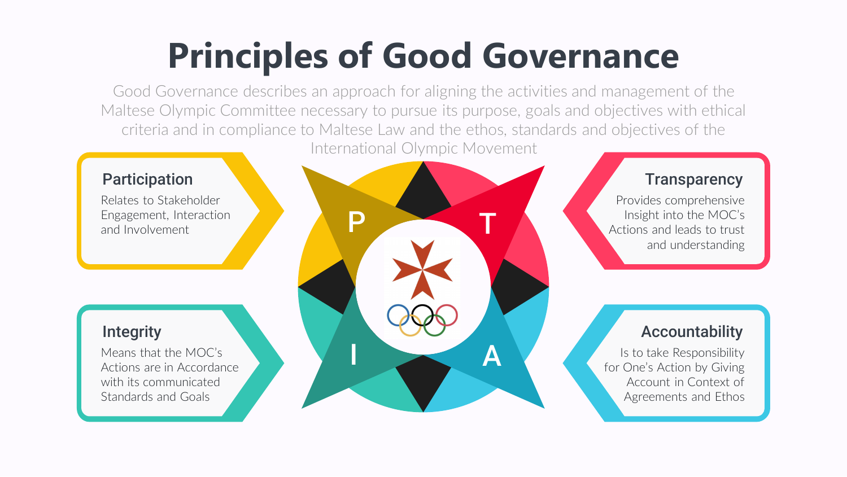P

Relates to Stakeholder Engagement, Interaction and Involvement

### **Integrity**

### Participation

T

Means that the MOC's Means that the MOC's<br>Actions are in Accordance with its communicated Standards and Goals

#### **Transparency**

Provides comprehensive Insight into the MOC's Actions and leads to trust and understanding

Is to take Responsibility for One's Action by Giving Account in Context of Agreements and Ethos

#### Accountability

# **Principles of Good Governance**

Good Governance describes an approach for aligning the activities and management of the Maltese Olympic Committee necessary to pursue its purpose, goals and objectives with ethical criteria and in compliance to Maltese Law and the ethos, standards and objectives of the International Olympic Movement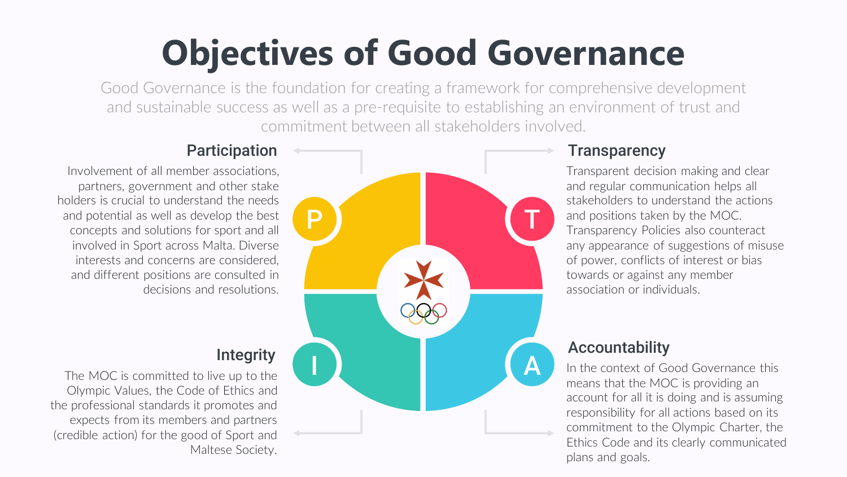

# **Transparency**

Transparent decision making and clear and regular communication helps all stakeholders to understand the actions and positions taken by the MOC. Transparency Policies also counteract any appearance of suggestions of misuse of power, conflicts of interest or bias towards or against any member association or individuals.

In the context of Good Governance this means that the MOC is providing an account for all it is doing and is assuming responsibility for all actions based on its commitment to the Olympic Charter, the Ethics Code and its clearly communicated plans and goals.

# Accountability

Involvement of all member associations, partners, government and other stake holders is crucial to understand the needs and potential as well as develop the best concepts and solutions for sport and all involved in Sport across Malta. Diverse interests and concerns are considered, and different positions are consulted in decisions and resolutions.

#### **Integrity**

#### Participation

The MOC is committed to live up to the Olympic Values, the Code of Ethics and the professional standards it promotes and expects from its members and partners (credible action) for the good of Sport and Maltese Society.

# **Objectives of Good Governance**

Good Governance is the foundation for creating a framework for comprehensive development and sustainable success as well as a pre-requisite to establishing an environment of trust and commitment between all stakeholders involved.